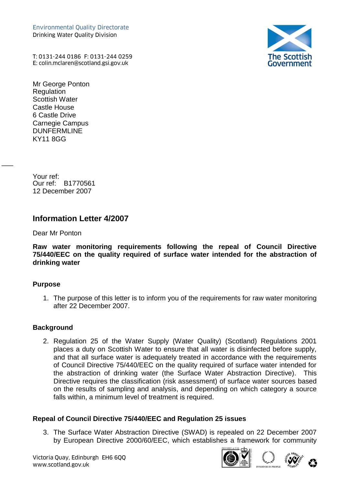Environmental Quality Directorate Drinking Water Quality Division Environmental Quality Directorate<br>Drinking Water Quality Division<br>T: 0131-244 0186 F: 0131-244 0259<br>E: colin.mclaren@scotland.gsi.gov.uk



T: 0131-244 0186 F: 0131-244 0259

Mr George Ponton **Regulation** Scottish Water Castle House 6 Castle Drive Carnegie Campus DUNFERMLINE KY11 8GG

Your ref: Our ref: B1770561 12 December 2007

 $\overline{\phantom{a}}$ 

# **Information Letter 4/2007**

Dear Mr Ponton

**Raw water monitoring requirements following the repeal of Council Directive 75/440/EEC on the quality required of surface water intended for the abstraction of drinking water**

### **Purpose**

1. The purpose of this letter is to inform you of the requirements for raw water monitoring after 22 December 2007.

### **Background**

2. Regulation 25 of the Water Supply (Water Quality) (Scotland) Regulations 2001 places a duty on Scottish Water to ensure that all water is disinfected before supply, and that all surface water is adequately treated in accordance with the requirements of Council Directive 75/440/EEC on the quality required of surface water intended for the abstraction of drinking water (the Surface Water Abstraction Directive). This Directive requires the classification (risk assessment) of surface water sources based on the results of sampling and analysis, and depending on which category a source falls within, a minimum level of treatment is required.

## **Repeal of Council Directive 75/440/EEC and Regulation 25 issues**

3. The Surface Water Abstraction Directive (SWAD) is repealed on 22 December 2007 by European Directive 2000/60/EEC, which establishes a framework for community





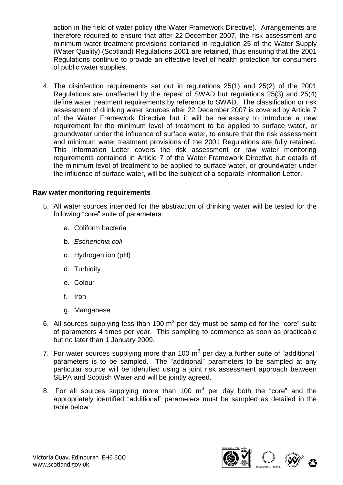action in the field of water policy (the Water Framework Directive). Arrangements are therefore required to ensure that after 22 December 2007, the risk assessment and minimum water treatment provisions contained in regulation 25 of the Water Supply (Water Quality) (Scotland) Regulations 2001 are retained, thus ensuring that the 2001 Regulations continue to provide an effective level of health protection for consumers of public water supplies.

4. The disinfection requirements set out in regulations 25(1) and 25(2) of the 2001 Regulations are unaffected by the repeal of SWAD but regulations 25(3) and 25(4) define water treatment requirements by reference to SWAD. The classification or risk assessment of drinking water sources after 22 December 2007 is covered by Article 7 of the Water Framework Directive but it will be necessary to introduce a new requirement for the minimum level of treatment to be applied to surface water, or groundwater under the influence of surface water, to ensure that the risk assessment and minimum water treatment provisions of the 2001 Regulations are fully retained. This Information Letter covers the risk assessment or raw water monitoring requirements contained in Article 7 of the Water Framework Directive but details of the minimum level of treatment to be applied to surface water, or groundwater under the influence of surface water, will be the subject of a separate Information Letter.

### **Raw water monitoring requirements**

- 5. All water sources intended for the abstraction of drinking water will be tested for the following "core" suite of parameters:
	- a. Coliform bacteria
	- b. *Escherichia coli*
	- c. Hydrogen ion (pH)
	- d. Turbidity
	- e. Colour
	- f. Iron
	- g. Manganese
- 6. All sources supplying less than 100  $m^3$  per day must be sampled for the "core" suite of parameters 4 times per year. This sampling to commence as soon as practicable but no later than 1 January 2009.
- 7. For water sources supplying more than 100  $m<sup>3</sup>$  per day a further suite of "additional" parameters is to be sampled. The "additional" parameters to be sampled at any particular source will be identified using a joint risk assessment approach between SEPA and Scottish Water and will be jointly agreed.
- 8. For all sources supplying more than 100  $m<sup>3</sup>$  per day both the "core" and the appropriately identified "additional" parameters must be sampled as detailed in the table below: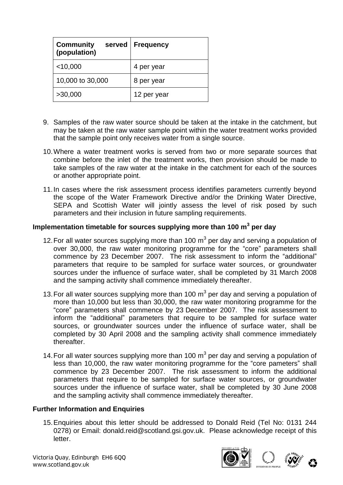| <b>Community</b><br>served<br>(population) | <b>Frequency</b> |
|--------------------------------------------|------------------|
| $<$ 10,000                                 | 4 per year       |
| 10,000 to 30,000                           | 8 per year       |
| >30,000                                    | 12 per year      |

- 9. Samples of the raw water source should be taken at the intake in the catchment, but may be taken at the raw water sample point within the water treatment works provided that the sample point only receives water from a single source.
- 10.Where a water treatment works is served from two or more separate sources that combine before the inlet of the treatment works, then provision should be made to take samples of the raw water at the intake in the catchment for each of the sources or another appropriate point.
- 11.In cases where the risk assessment process identifies parameters currently beyond the scope of the Water Framework Directive and/or the Drinking Water Directive, SEPA and Scottish Water will jointly assess the level of risk posed by such parameters and their inclusion in future sampling requirements.

### **Implementation timetable for sources supplying more than 100 m<sup>3</sup> per day**

- 12. For all water sources supplying more than 100  $m<sup>3</sup>$  per day and serving a population of over 30,000, the raw water monitoring programme for the "core" parameters shall commence by 23 December 2007. The risk assessment to inform the "additional" parameters that require to be sampled for surface water sources, or groundwater sources under the influence of surface water, shall be completed by 31 March 2008 and the samping activity shall commence immediately thereafter.
- 13. For all water sources supplying more than 100  $m<sup>3</sup>$  per day and serving a population of more than 10,000 but less than 30,000, the raw water monitoring programme for the "core" parameters shall commence by 23 December 2007. The risk assessment to inform the "additional" parameters that require to be sampled for surface water sources, or groundwater sources under the influence of surface water, shall be completed by 30 April 2008 and the sampling activity shall commence immediately thereafter.
- 14. For all water sources supplying more than 100  $m<sup>3</sup>$  per day and serving a population of less than 10,000, the raw water monitoring programme for the "core pameters" shall commence by 23 December 2007. The risk assessment to inform the additional parameters that require to be sampled for surface water sources, or groundwater sources under the influence of surface water, shall be completed by 30 June 2008 and the sampling activity shall commence immediately thereafter.

### **Further Information and Enquiries**

15.Enquiries about this letter should be addressed to Donald Reid (Tel No: 0131 244 0278) or Email: [donald.reid@scotland.gsi.gov.uk.](mailto:donald.reid@scotland.gsi.gov.uk) Please acknowledge receipt of this letter.